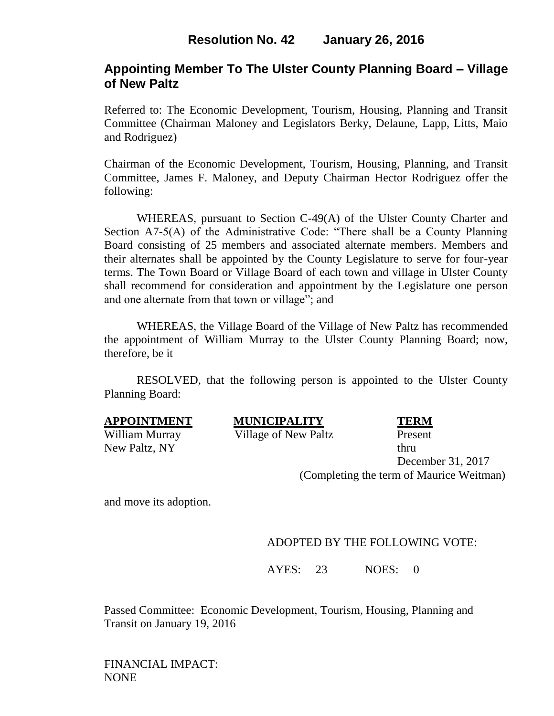# **Resolution No. 42 January 26, 2016**

### **Appointing Member To The Ulster County Planning Board – Village of New Paltz**

Referred to: The Economic Development, Tourism, Housing, Planning and Transit Committee (Chairman Maloney and Legislators Berky, Delaune, Lapp, Litts, Maio and Rodriguez)

Chairman of the Economic Development, Tourism, Housing, Planning, and Transit Committee, James F. Maloney, and Deputy Chairman Hector Rodriguez offer the following:

WHEREAS, pursuant to Section C-49(A) of the Ulster County Charter and Section A7-5(A) of the Administrative Code: "There shall be a County Planning Board consisting of 25 members and associated alternate members. Members and their alternates shall be appointed by the County Legislature to serve for four-year terms. The Town Board or Village Board of each town and village in Ulster County shall recommend for consideration and appointment by the Legislature one person and one alternate from that town or village"; and

WHEREAS, the Village Board of the Village of New Paltz has recommended the appointment of William Murray to the Ulster County Planning Board; now, therefore, be it

RESOLVED, that the following person is appointed to the Ulster County Planning Board:

| <b>APPOINTMENT</b> | <b>MUNICIPALITY</b>  | <b>TERM</b> |  |
|--------------------|----------------------|-------------|--|
| William Murray     | Village of New Paltz | Present     |  |
| New Paltz, NY      |                      | thru        |  |

December 31, 2017 (Completing the term of Maurice Weitman)

and move its adoption.

### ADOPTED BY THE FOLLOWING VOTE:

AYES: 23 NOES: 0

Passed Committee: Economic Development, Tourism, Housing, Planning and Transit on January 19, 2016

FINANCIAL IMPACT: NONE